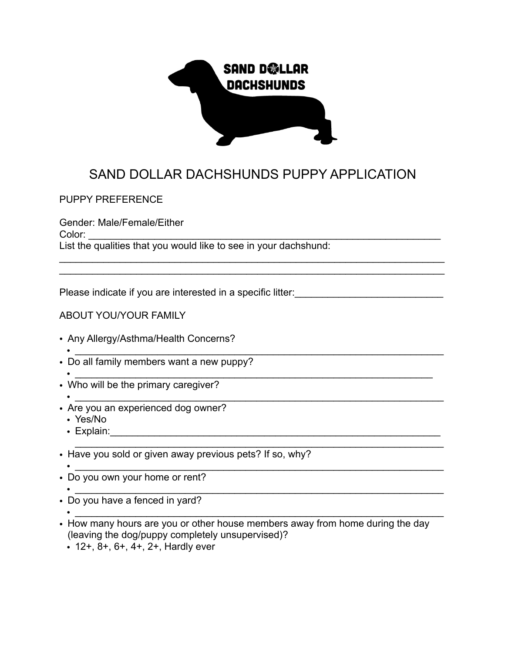

## SAND DOLLAR DACHSHUNDS PUPPY APPLICATION

 $\mathcal{L}_\mathcal{L} = \mathcal{L}_\mathcal{L} = \mathcal{L}_\mathcal{L} = \mathcal{L}_\mathcal{L} = \mathcal{L}_\mathcal{L} = \mathcal{L}_\mathcal{L} = \mathcal{L}_\mathcal{L} = \mathcal{L}_\mathcal{L} = \mathcal{L}_\mathcal{L} = \mathcal{L}_\mathcal{L} = \mathcal{L}_\mathcal{L} = \mathcal{L}_\mathcal{L} = \mathcal{L}_\mathcal{L} = \mathcal{L}_\mathcal{L} = \mathcal{L}_\mathcal{L} = \mathcal{L}_\mathcal{L} = \mathcal{L}_\mathcal{L}$ \_\_\_\_\_\_\_\_\_\_\_\_\_\_\_\_\_\_\_\_\_\_\_\_\_\_\_\_\_\_\_\_\_\_\_\_\_\_\_\_\_\_\_\_\_\_\_\_\_\_\_\_\_\_\_\_\_\_\_\_\_\_\_\_\_\_\_\_\_\_

PUPPY PREFERENCE

Gender: Male/Female/Either Color: List the qualities that you would like to see in your dachshund:

Please indicate if you are interested in a specific litter:

## ABOUT YOU/YOUR FAMILY

- Any Allergy/Asthma/Health Concerns?
- $\overline{\phantom{a}}$  ,  $\overline{\phantom{a}}$  ,  $\overline{\phantom{a}}$  ,  $\overline{\phantom{a}}$  ,  $\overline{\phantom{a}}$  ,  $\overline{\phantom{a}}$  ,  $\overline{\phantom{a}}$  ,  $\overline{\phantom{a}}$  ,  $\overline{\phantom{a}}$  ,  $\overline{\phantom{a}}$  ,  $\overline{\phantom{a}}$  ,  $\overline{\phantom{a}}$  ,  $\overline{\phantom{a}}$  ,  $\overline{\phantom{a}}$  ,  $\overline{\phantom{a}}$  ,  $\overline{\phantom{a$ • Do all family members want a new puppy?
- $\overline{\phantom{a}}$  ,  $\overline{\phantom{a}}$  ,  $\overline{\phantom{a}}$  ,  $\overline{\phantom{a}}$  ,  $\overline{\phantom{a}}$  ,  $\overline{\phantom{a}}$  ,  $\overline{\phantom{a}}$  ,  $\overline{\phantom{a}}$  ,  $\overline{\phantom{a}}$  ,  $\overline{\phantom{a}}$  ,  $\overline{\phantom{a}}$  ,  $\overline{\phantom{a}}$  ,  $\overline{\phantom{a}}$  ,  $\overline{\phantom{a}}$  ,  $\overline{\phantom{a}}$  ,  $\overline{\phantom{a$ • Who will be the primary caregiver?
- $\overline{\phantom{a}}$  ,  $\overline{\phantom{a}}$  ,  $\overline{\phantom{a}}$  ,  $\overline{\phantom{a}}$  ,  $\overline{\phantom{a}}$  ,  $\overline{\phantom{a}}$  ,  $\overline{\phantom{a}}$  ,  $\overline{\phantom{a}}$  ,  $\overline{\phantom{a}}$  ,  $\overline{\phantom{a}}$  ,  $\overline{\phantom{a}}$  ,  $\overline{\phantom{a}}$  ,  $\overline{\phantom{a}}$  ,  $\overline{\phantom{a}}$  ,  $\overline{\phantom{a}}$  ,  $\overline{\phantom{a$ • Are you an experienced dog owner?
	- Yes/No
	- Explain:
- Have you sold or given away previous pets? If so, why?
- $\overline{\phantom{a}}$  ,  $\overline{\phantom{a}}$  ,  $\overline{\phantom{a}}$  ,  $\overline{\phantom{a}}$  ,  $\overline{\phantom{a}}$  ,  $\overline{\phantom{a}}$  ,  $\overline{\phantom{a}}$  ,  $\overline{\phantom{a}}$  ,  $\overline{\phantom{a}}$  ,  $\overline{\phantom{a}}$  ,  $\overline{\phantom{a}}$  ,  $\overline{\phantom{a}}$  ,  $\overline{\phantom{a}}$  ,  $\overline{\phantom{a}}$  ,  $\overline{\phantom{a}}$  ,  $\overline{\phantom{a$ • Do you own your home or rent?
- $\overline{\phantom{a}}$  ,  $\overline{\phantom{a}}$  ,  $\overline{\phantom{a}}$  ,  $\overline{\phantom{a}}$  ,  $\overline{\phantom{a}}$  ,  $\overline{\phantom{a}}$  ,  $\overline{\phantom{a}}$  ,  $\overline{\phantom{a}}$  ,  $\overline{\phantom{a}}$  ,  $\overline{\phantom{a}}$  ,  $\overline{\phantom{a}}$  ,  $\overline{\phantom{a}}$  ,  $\overline{\phantom{a}}$  ,  $\overline{\phantom{a}}$  ,  $\overline{\phantom{a}}$  ,  $\overline{\phantom{a$ • Do you have a fenced in yard?
- $\overline{\phantom{a}}$  ,  $\overline{\phantom{a}}$  ,  $\overline{\phantom{a}}$  ,  $\overline{\phantom{a}}$  ,  $\overline{\phantom{a}}$  ,  $\overline{\phantom{a}}$  ,  $\overline{\phantom{a}}$  ,  $\overline{\phantom{a}}$  ,  $\overline{\phantom{a}}$  ,  $\overline{\phantom{a}}$  ,  $\overline{\phantom{a}}$  ,  $\overline{\phantom{a}}$  ,  $\overline{\phantom{a}}$  ,  $\overline{\phantom{a}}$  ,  $\overline{\phantom{a}}$  ,  $\overline{\phantom{a$
- How many hours are you or other house members away from home during the day (leaving the dog/puppy completely unsupervised)?

\_\_\_\_\_\_\_\_\_\_\_\_\_\_\_\_\_\_\_\_\_\_\_\_\_\_\_\_\_\_\_\_\_\_\_\_\_\_\_\_\_\_\_\_\_\_\_\_\_\_\_\_\_\_\_\_\_\_\_\_\_\_\_\_\_\_\_

• 12+, 8+, 6+, 4+, 2+, Hardly ever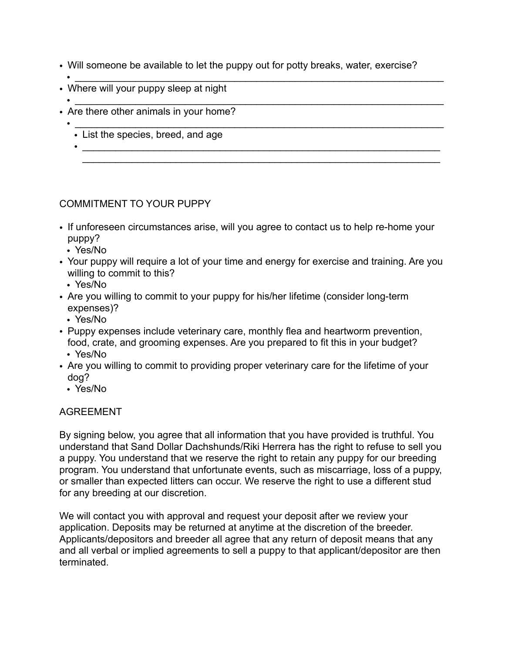- Will someone be available to let the puppy out for potty breaks, water, exercise?
- $\overline{\phantom{a}}$  ,  $\overline{\phantom{a}}$  ,  $\overline{\phantom{a}}$  ,  $\overline{\phantom{a}}$  ,  $\overline{\phantom{a}}$  ,  $\overline{\phantom{a}}$  ,  $\overline{\phantom{a}}$  ,  $\overline{\phantom{a}}$  ,  $\overline{\phantom{a}}$  ,  $\overline{\phantom{a}}$  ,  $\overline{\phantom{a}}$  ,  $\overline{\phantom{a}}$  ,  $\overline{\phantom{a}}$  ,  $\overline{\phantom{a}}$  ,  $\overline{\phantom{a}}$  ,  $\overline{\phantom{a$ • Where will your puppy sleep at night
- $\overline{\phantom{a}}$  ,  $\overline{\phantom{a}}$  ,  $\overline{\phantom{a}}$  ,  $\overline{\phantom{a}}$  ,  $\overline{\phantom{a}}$  ,  $\overline{\phantom{a}}$  ,  $\overline{\phantom{a}}$  ,  $\overline{\phantom{a}}$  ,  $\overline{\phantom{a}}$  ,  $\overline{\phantom{a}}$  ,  $\overline{\phantom{a}}$  ,  $\overline{\phantom{a}}$  ,  $\overline{\phantom{a}}$  ,  $\overline{\phantom{a}}$  ,  $\overline{\phantom{a}}$  ,  $\overline{\phantom{a$ • Are there other animals in your home?
	- $\overline{\phantom{a}}$  ,  $\overline{\phantom{a}}$  ,  $\overline{\phantom{a}}$  ,  $\overline{\phantom{a}}$  ,  $\overline{\phantom{a}}$  ,  $\overline{\phantom{a}}$  ,  $\overline{\phantom{a}}$  ,  $\overline{\phantom{a}}$  ,  $\overline{\phantom{a}}$  ,  $\overline{\phantom{a}}$  ,  $\overline{\phantom{a}}$  ,  $\overline{\phantom{a}}$  ,  $\overline{\phantom{a}}$  ,  $\overline{\phantom{a}}$  ,  $\overline{\phantom{a}}$  ,  $\overline{\phantom{a$ • List the species, breed, and age
		- $\bullet$   $\overline{\phantom{a}}$   $\overline{\phantom{a}}$   $\overline{\phantom{a}}$   $\overline{\phantom{a}}$   $\overline{\phantom{a}}$   $\overline{\phantom{a}}$   $\overline{\phantom{a}}$   $\overline{\phantom{a}}$   $\overline{\phantom{a}}$   $\overline{\phantom{a}}$   $\overline{\phantom{a}}$   $\overline{\phantom{a}}$   $\overline{\phantom{a}}$   $\overline{\phantom{a}}$   $\overline{\phantom{a}}$   $\overline{\phantom{a}}$   $\overline{\phantom{a}}$   $\overline{\phantom{a}}$  \_\_\_\_\_\_\_\_\_\_\_\_\_\_\_\_\_\_\_\_\_\_\_\_\_\_\_\_\_\_\_\_\_\_\_\_\_\_\_\_\_\_\_\_\_\_\_\_\_\_\_\_\_\_\_\_\_\_\_\_\_\_\_\_\_

## COMMITMENT TO YOUR PUPPY

- If unforeseen circumstances arise, will you agree to contact us to help re-home your puppy?
	- Yes/No
- Your puppy will require a lot of your time and energy for exercise and training. Are you willing to commit to this?
- Yes/No
- Are you willing to commit to your puppy for his/her lifetime (consider long-term expenses)?
	- Yes/No
- Puppy expenses include veterinary care, monthly flea and heartworm prevention, food, crate, and grooming expenses. Are you prepared to fit this in your budget? • Yes/No
- Are you willing to commit to providing proper veterinary care for the lifetime of your dog?
	- Yes/No

## AGREEMENT

By signing below, you agree that all information that you have provided is truthful. You understand that Sand Dollar Dachshunds/Riki Herrera has the right to refuse to sell you a puppy. You understand that we reserve the right to retain any puppy for our breeding program. You understand that unfortunate events, such as miscarriage, loss of a puppy, or smaller than expected litters can occur. We reserve the right to use a different stud for any breeding at our discretion.

We will contact you with approval and request your deposit after we review your application. Deposits may be returned at anytime at the discretion of the breeder. Applicants/depositors and breeder all agree that any return of deposit means that any and all verbal or implied agreements to sell a puppy to that applicant/depositor are then terminated.